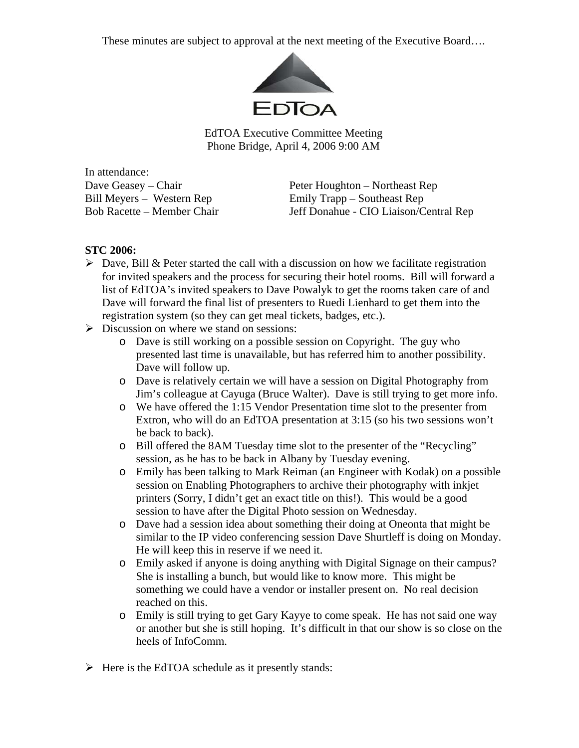These minutes are subject to approval at the next meeting of the Executive Board….



EdTOA Executive Committee Meeting Phone Bridge, April 4, 2006 9:00 AM

In attendance:

Dave Geasey – Chair **Peter Houghton – Northeast Rep**<br>Bill Meyers – Western Rep **Peter Houghton – Southeast Rep** Emily Trapp – Southeast Rep Bob Racette – Member Chair Jeff Donahue - CIO Liaison/Central Rep

## **STC 2006:**

- $\triangleright$  Dave, Bill & Peter started the call with a discussion on how we facilitate registration for invited speakers and the process for securing their hotel rooms. Bill will forward a list of EdTOA's invited speakers to Dave Powalyk to get the rooms taken care of and Dave will forward the final list of presenters to Ruedi Lienhard to get them into the registration system (so they can get meal tickets, badges, etc.).
- $\triangleright$  Discussion on where we stand on sessions:
	- o Dave is still working on a possible session on Copyright. The guy who presented last time is unavailable, but has referred him to another possibility. Dave will follow up.
	- o Dave is relatively certain we will have a session on Digital Photography from Jim's colleague at Cayuga (Bruce Walter). Dave is still trying to get more info.
	- o We have offered the 1:15 Vendor Presentation time slot to the presenter from Extron, who will do an EdTOA presentation at 3:15 (so his two sessions won't be back to back).
	- o Bill offered the 8AM Tuesday time slot to the presenter of the "Recycling" session, as he has to be back in Albany by Tuesday evening.
	- o Emily has been talking to Mark Reiman (an Engineer with Kodak) on a possible session on Enabling Photographers to archive their photography with inkjet printers (Sorry, I didn't get an exact title on this!). This would be a good session to have after the Digital Photo session on Wednesday.
	- o Dave had a session idea about something their doing at Oneonta that might be similar to the IP video conferencing session Dave Shurtleff is doing on Monday. He will keep this in reserve if we need it.
	- o Emily asked if anyone is doing anything with Digital Signage on their campus? She is installing a bunch, but would like to know more. This might be something we could have a vendor or installer present on. No real decision reached on this.
	- o Emily is still trying to get Gary Kayye to come speak. He has not said one way or another but she is still hoping. It's difficult in that our show is so close on the heels of InfoComm.
- $\triangleright$  Here is the EdTOA schedule as it presently stands: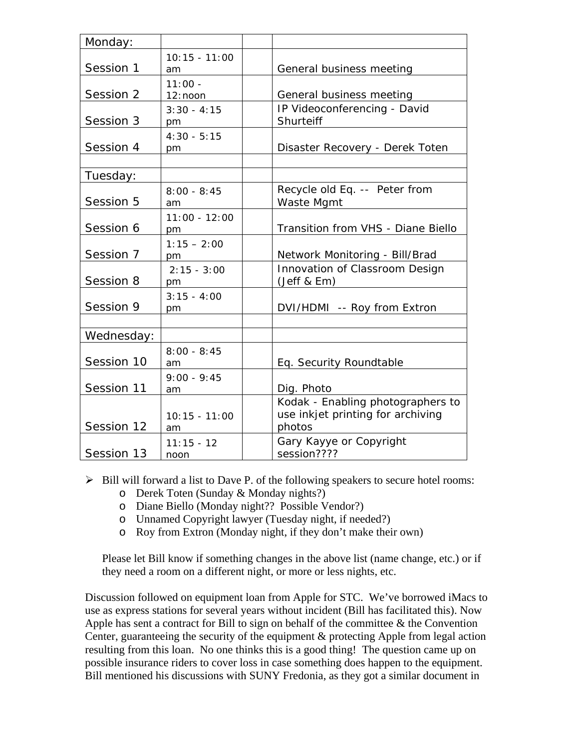| Monday:    |                         |                                                                                  |
|------------|-------------------------|----------------------------------------------------------------------------------|
| Session 1  | $10:15 - 11:00$<br>am   | General business meeting                                                         |
| Session 2  | $11:00 -$<br>$12:$ noon | General business meeting                                                         |
| Session 3  | $3:30 - 4:15$<br>pm     | IP Videoconferencing - David<br>Shurteiff                                        |
| Session 4  | $4:30 - 5:15$<br>pm     | Disaster Recovery - Derek Toten                                                  |
| Tuesday:   |                         |                                                                                  |
| Session 5  | $8:00 - 8:45$<br>am     | Recycle old Eq. -- Peter from<br>Waste Mgmt                                      |
| Session 6  | $11:00 - 12:00$         | Transition from VHS - Diane Biello                                               |
| Session 7  | $1:15 - 2:00$<br>pm     | Network Monitoring - Bill/Brad                                                   |
| Session 8  | $2:15 - 3:00$<br>pm     | Innovation of Classroom Design<br>(Jeff & Em)                                    |
| Session 9  | $3:15 - 4:00$<br>pm     | DVI/HDMI -- Roy from Extron                                                      |
|            |                         |                                                                                  |
| Wednesday: |                         |                                                                                  |
| Session 10 | $8:00 - 8:45$<br>am     | Eq. Security Roundtable                                                          |
| Session 11 | $9:00 - 9:45$<br>am     | Dig. Photo                                                                       |
| Session 12 | $10:15 - 11:00$<br>am   | Kodak - Enabling photographers to<br>use inkjet printing for archiving<br>photos |
| Session 13 | $11:15 - 12$<br>noon    | Gary Kayye or Copyright<br>session????                                           |

- $\triangleright$  Bill will forward a list to Dave P. of the following speakers to secure hotel rooms:
	- o Derek Toten (Sunday & Monday nights?)
	- o Diane Biello (Monday night?? Possible Vendor?)
	- o Unnamed Copyright lawyer (Tuesday night, if needed?)
	- o Roy from Extron (Monday night, if they don't make their own)

Please let Bill know if something changes in the above list (name change, etc.) or if they need a room on a different night, or more or less nights, etc.

Discussion followed on equipment loan from Apple for STC. We've borrowed iMacs to use as express stations for several years without incident (Bill has facilitated this). Now Apple has sent a contract for Bill to sign on behalf of the committee  $\&$  the Convention Center, guaranteeing the security of the equipment & protecting Apple from legal action resulting from this loan. No one thinks this is a good thing! The question came up on possible insurance riders to cover loss in case something does happen to the equipment. Bill mentioned his discussions with SUNY Fredonia, as they got a similar document in